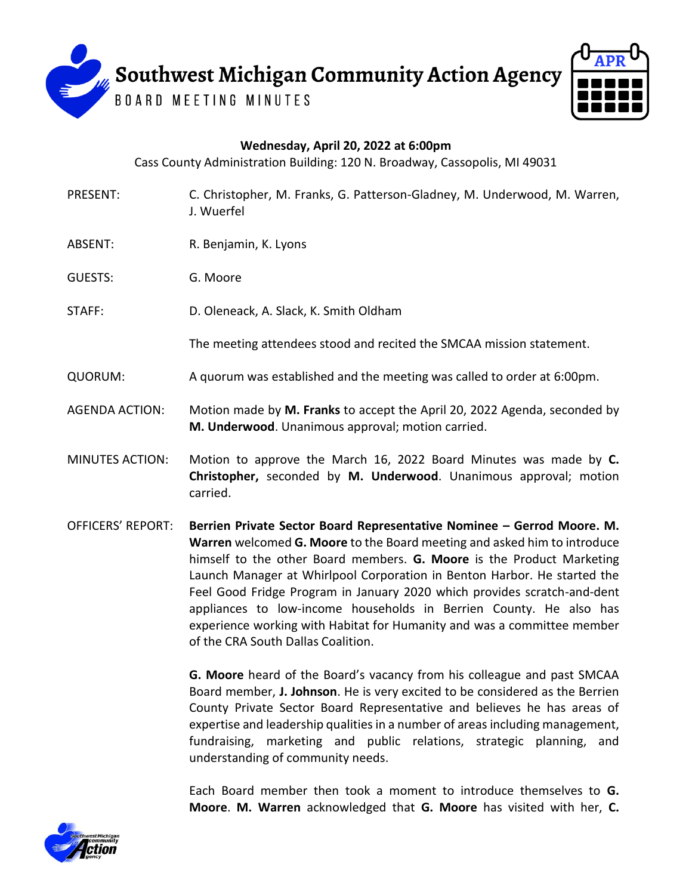



## **Wednesday, April 20, 2022 at 6:00pm**

Cass County Administration Building: 120 N. Broadway, Cassopolis, MI 49031

- PRESENT: C. Christopher, M. Franks, G. Patterson-Gladney, M. Underwood, M. Warren, J. Wuerfel
- ABSENT: R. Benjamin, K. Lyons
- GUESTS: G. Moore
- STAFF: D. Oleneack, A. Slack, K. Smith Oldham

The meeting attendees stood and recited the SMCAA mission statement.

- QUORUM: A quorum was established and the meeting was called to order at 6:00pm.
- AGENDA ACTION: Motion made by **M. Franks** to accept the April 20, 2022 Agenda, seconded by **M. Underwood**. Unanimous approval; motion carried.
- MINUTES ACTION: Motion to approve the March 16, 2022 Board Minutes was made by **C. Christopher,** seconded by **M. Underwood**. Unanimous approval; motion carried.
- OFFICERS' REPORT: **Berrien Private Sector Board Representative Nominee – Gerrod Moore. M. Warren** welcomed **G. Moore** to the Board meeting and asked him to introduce himself to the other Board members. **G. Moore** is the Product Marketing Launch Manager at Whirlpool Corporation in Benton Harbor. He started the Feel Good Fridge Program in January 2020 which provides scratch-and-dent appliances to low-income households in Berrien County. He also has experience working with Habitat for Humanity and was a committee member of the CRA South Dallas Coalition.

**G. Moore** heard of the Board's vacancy from his colleague and past SMCAA Board member, **J. Johnson**. He is very excited to be considered as the Berrien County Private Sector Board Representative and believes he has areas of expertise and leadership qualities in a number of areas including management, fundraising, marketing and public relations, strategic planning, and understanding of community needs.

Each Board member then took a moment to introduce themselves to **G. Moore**. **M. Warren** acknowledged that **G. Moore** has visited with her, **C.** 

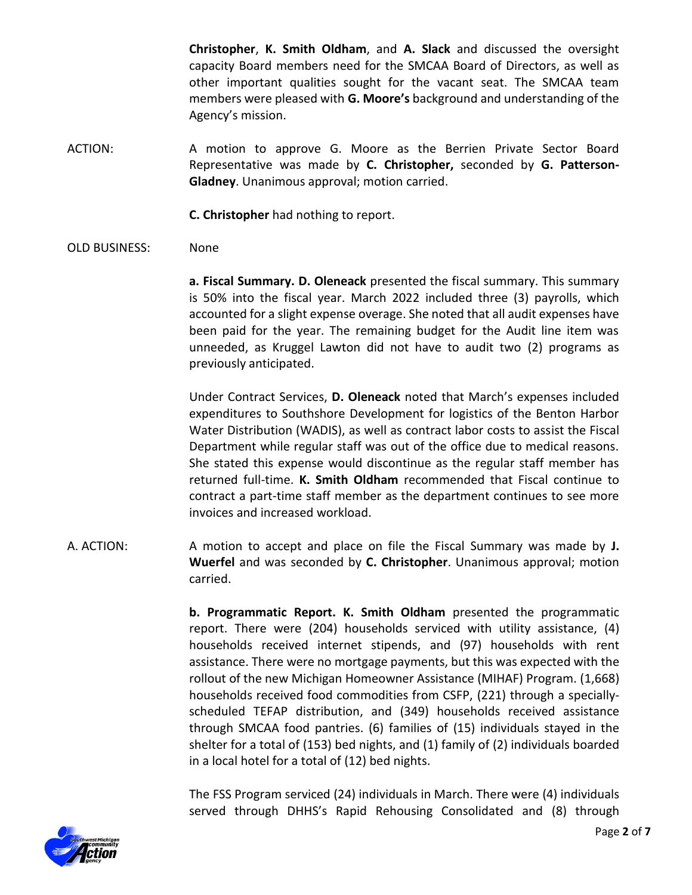**Christopher**, **K. Smith Oldham**, and **A. Slack** and discussed the oversight capacity Board members need for the SMCAA Board of Directors, as well as other important qualities sought for the vacant seat. The SMCAA team members were pleased with **G. Moore's** background and understanding of the Agency's mission.

ACTION: A motion to approve G. Moore as the Berrien Private Sector Board Representative was made by **C. Christopher,** seconded by **G. Patterson-Gladney**. Unanimous approval; motion carried.

**C. Christopher** had nothing to report.

OLD BUSINESS: None

**a. Fiscal Summary. D. Oleneack** presented the fiscal summary. This summary is 50% into the fiscal year. March 2022 included three (3) payrolls, which accounted for a slight expense overage. She noted that all audit expenses have been paid for the year. The remaining budget for the Audit line item was unneeded, as Kruggel Lawton did not have to audit two (2) programs as previously anticipated.

Under Contract Services, **D. Oleneack** noted that March's expenses included expenditures to Southshore Development for logistics of the Benton Harbor Water Distribution (WADIS), as well as contract labor costs to assist the Fiscal Department while regular staff was out of the office due to medical reasons. She stated this expense would discontinue as the regular staff member has returned full-time. **K. Smith Oldham** recommended that Fiscal continue to contract a part-time staff member as the department continues to see more invoices and increased workload.

A. ACTION: A motion to accept and place on file the Fiscal Summary was made by **J. Wuerfel** and was seconded by **C. Christopher**. Unanimous approval; motion carried.

> **b. Programmatic Report. K. Smith Oldham** presented the programmatic report. There were (204) households serviced with utility assistance, (4) households received internet stipends, and (97) households with rent assistance. There were no mortgage payments, but this was expected with the rollout of the new Michigan Homeowner Assistance (MIHAF) Program. (1,668) households received food commodities from CSFP, (221) through a speciallyscheduled TEFAP distribution, and (349) households received assistance through SMCAA food pantries. (6) families of (15) individuals stayed in the shelter for a total of (153) bed nights, and (1) family of (2) individuals boarded in a local hotel for a total of (12) bed nights.

> The FSS Program serviced (24) individuals in March. There were (4) individuals served through DHHS's Rapid Rehousing Consolidated and (8) through

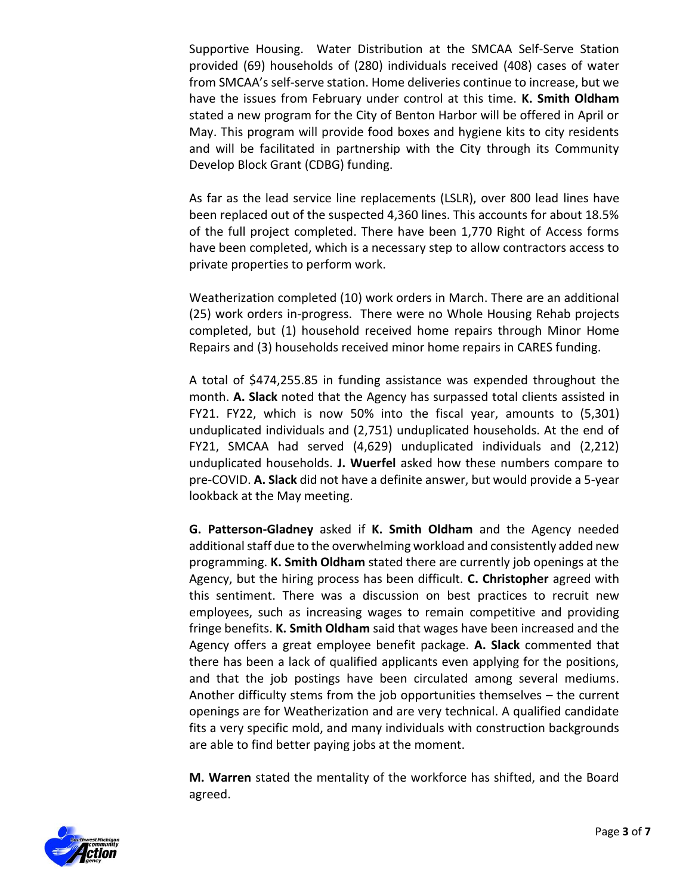Supportive Housing. Water Distribution at the SMCAA Self-Serve Station provided (69) households of (280) individuals received (408) cases of water from SMCAA's self-serve station. Home deliveries continue to increase, but we have the issues from February under control at this time. **K. Smith Oldham** stated a new program for the City of Benton Harbor will be offered in April or May. This program will provide food boxes and hygiene kits to city residents and will be facilitated in partnership with the City through its Community Develop Block Grant (CDBG) funding.

As far as the lead service line replacements (LSLR), over 800 lead lines have been replaced out of the suspected 4,360 lines. This accounts for about 18.5% of the full project completed. There have been 1,770 Right of Access forms have been completed, which is a necessary step to allow contractors access to private properties to perform work.

Weatherization completed (10) work orders in March. There are an additional (25) work orders in-progress. There were no Whole Housing Rehab projects completed, but (1) household received home repairs through Minor Home Repairs and (3) households received minor home repairs in CARES funding.

A total of \$474,255.85 in funding assistance was expended throughout the month. **A. Slack** noted that the Agency has surpassed total clients assisted in FY21. FY22, which is now 50% into the fiscal year, amounts to (5,301) unduplicated individuals and (2,751) unduplicated households. At the end of FY21, SMCAA had served (4,629) unduplicated individuals and (2,212) unduplicated households. **J. Wuerfel** asked how these numbers compare to pre-COVID. **A. Slack** did not have a definite answer, but would provide a 5-year lookback at the May meeting.

**G. Patterson-Gladney** asked if **K. Smith Oldham** and the Agency needed additional staff due to the overwhelming workload and consistently added new programming. **K. Smith Oldham** stated there are currently job openings at the Agency, but the hiring process has been difficult. **C. Christopher** agreed with this sentiment. There was a discussion on best practices to recruit new employees, such as increasing wages to remain competitive and providing fringe benefits. **K. Smith Oldham** said that wages have been increased and the Agency offers a great employee benefit package. **A. Slack** commented that there has been a lack of qualified applicants even applying for the positions, and that the job postings have been circulated among several mediums. Another difficulty stems from the job opportunities themselves – the current openings are for Weatherization and are very technical. A qualified candidate fits a very specific mold, and many individuals with construction backgrounds are able to find better paying jobs at the moment.

**M. Warren** stated the mentality of the workforce has shifted, and the Board agreed.

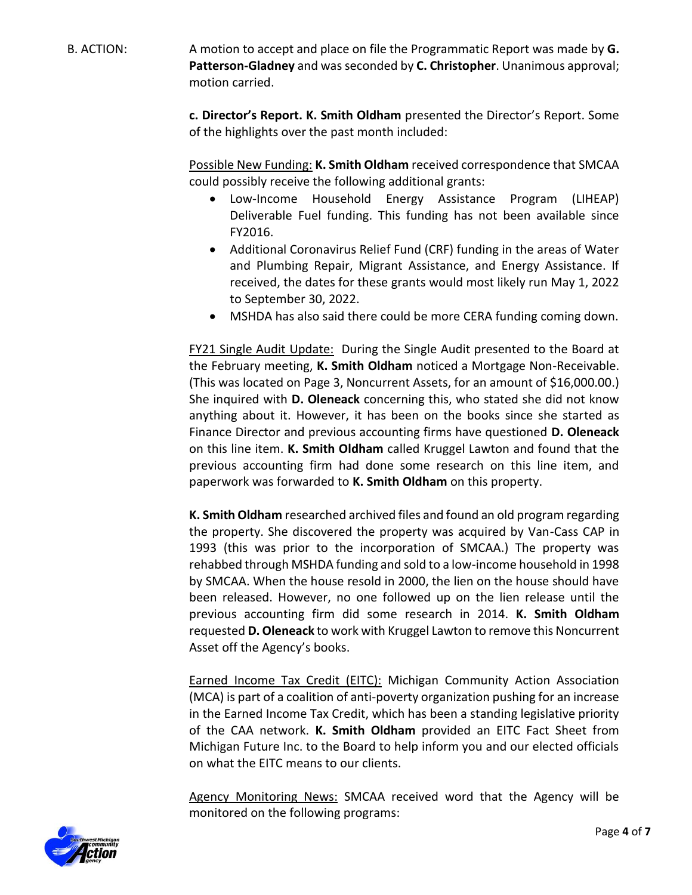B. ACTION: A motion to accept and place on file the Programmatic Report was made by **G. Patterson-Gladney** and was seconded by **C. Christopher**. Unanimous approval; motion carried.

> **c. Director's Report. K. Smith Oldham** presented the Director's Report. Some of the highlights over the past month included:

> Possible New Funding: **K. Smith Oldham** received correspondence that SMCAA could possibly receive the following additional grants:

- Low-Income Household Energy Assistance Program (LIHEAP) Deliverable Fuel funding. This funding has not been available since FY2016.
- Additional Coronavirus Relief Fund (CRF) funding in the areas of Water and Plumbing Repair, Migrant Assistance, and Energy Assistance. If received, the dates for these grants would most likely run May 1, 2022 to September 30, 2022.
- MSHDA has also said there could be more CERA funding coming down.

FY21 Single Audit Update:During the Single Audit presented to the Board at the February meeting, **K. Smith Oldham** noticed a Mortgage Non-Receivable. (This was located on Page 3, Noncurrent Assets, for an amount of \$16,000.00.) She inquired with **D. Oleneack** concerning this, who stated she did not know anything about it. However, it has been on the books since she started as Finance Director and previous accounting firms have questioned **D. Oleneack** on this line item. **K. Smith Oldham** called Kruggel Lawton and found that the previous accounting firm had done some research on this line item, and paperwork was forwarded to **K. Smith Oldham** on this property.

**K. Smith Oldham** researched archived files and found an old program regarding the property. She discovered the property was acquired by Van-Cass CAP in 1993 (this was prior to the incorporation of SMCAA.) The property was rehabbed through MSHDA funding and sold to a low-income household in 1998 by SMCAA. When the house resold in 2000, the lien on the house should have been released. However, no one followed up on the lien release until the previous accounting firm did some research in 2014. **K. Smith Oldham** requested **D. Oleneack** to work with Kruggel Lawton to remove this Noncurrent Asset off the Agency's books.

Earned Income Tax Credit (EITC): Michigan Community Action Association (MCA) is part of a coalition of anti-poverty organization pushing for an increase in the Earned Income Tax Credit, which has been a standing legislative priority of the CAA network. **K. Smith Oldham** provided an EITC Fact Sheet from Michigan Future Inc. to the Board to help inform you and our elected officials on what the EITC means to our clients.

Agency Monitoring News: SMCAA received word that the Agency will be monitored on the following programs:

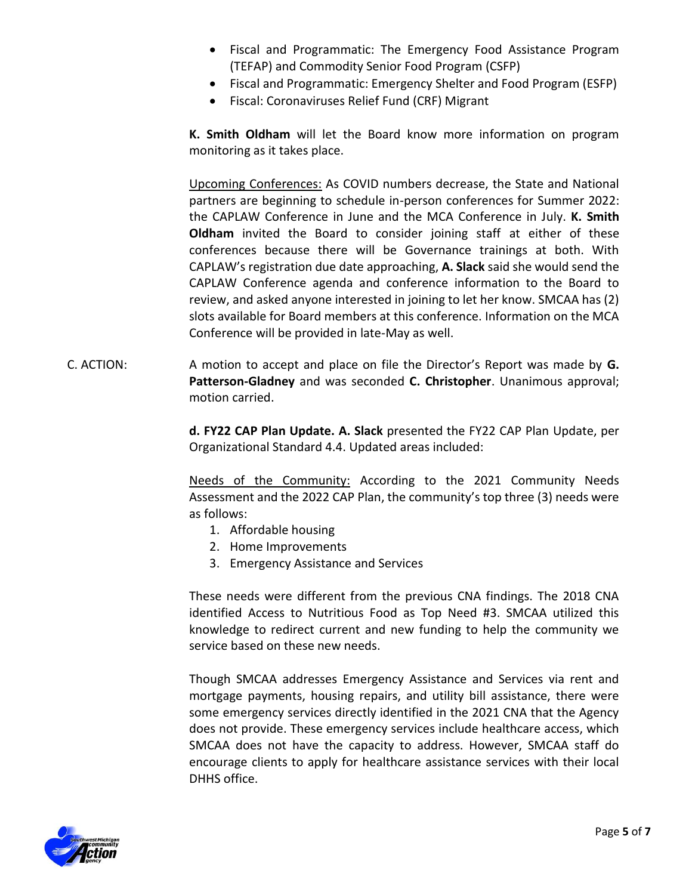- Fiscal and Programmatic: The Emergency Food Assistance Program (TEFAP) and Commodity Senior Food Program (CSFP)
- Fiscal and Programmatic: Emergency Shelter and Food Program (ESFP)
- Fiscal: Coronaviruses Relief Fund (CRF) Migrant

**K. Smith Oldham** will let the Board know more information on program monitoring as it takes place.

Upcoming Conferences: As COVID numbers decrease, the State and National partners are beginning to schedule in-person conferences for Summer 2022: the CAPLAW Conference in June and the MCA Conference in July. **K. Smith Oldham** invited the Board to consider joining staff at either of these conferences because there will be Governance trainings at both. With CAPLAW's registration due date approaching, **A. Slack** said she would send the CAPLAW Conference agenda and conference information to the Board to review, and asked anyone interested in joining to let her know. SMCAA has (2) slots available for Board members at this conference. Information on the MCA Conference will be provided in late-May as well.

C. ACTION: A motion to accept and place on file the Director's Report was made by **G. Patterson-Gladney** and was seconded **C. Christopher**. Unanimous approval; motion carried.

> **d. FY22 CAP Plan Update. A. Slack** presented the FY22 CAP Plan Update, per Organizational Standard 4.4. Updated areas included:

> Needs of the Community: According to the 2021 Community Needs Assessment and the 2022 CAP Plan, the community's top three (3) needs were as follows:

- 1. Affordable housing
- 2. Home Improvements
- 3. Emergency Assistance and Services

These needs were different from the previous CNA findings. The 2018 CNA identified Access to Nutritious Food as Top Need #3. SMCAA utilized this knowledge to redirect current and new funding to help the community we service based on these new needs.

Though SMCAA addresses Emergency Assistance and Services via rent and mortgage payments, housing repairs, and utility bill assistance, there were some emergency services directly identified in the 2021 CNA that the Agency does not provide. These emergency services include healthcare access, which SMCAA does not have the capacity to address. However, SMCAA staff do encourage clients to apply for healthcare assistance services with their local DHHS office.

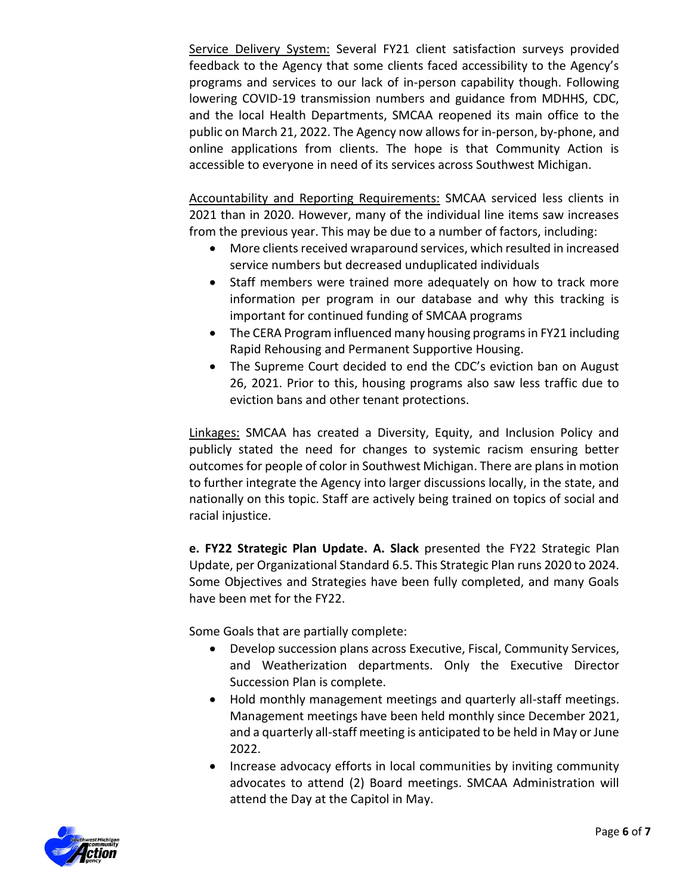Service Delivery System: Several FY21 client satisfaction surveys provided feedback to the Agency that some clients faced accessibility to the Agency's programs and services to our lack of in-person capability though. Following lowering COVID-19 transmission numbers and guidance from MDHHS, CDC, and the local Health Departments, SMCAA reopened its main office to the public on March 21, 2022. The Agency now allows for in-person, by-phone, and online applications from clients. The hope is that Community Action is accessible to everyone in need of its services across Southwest Michigan.

Accountability and Reporting Requirements: SMCAA serviced less clients in 2021 than in 2020. However, many of the individual line items saw increases from the previous year. This may be due to a number of factors, including:

- More clients received wraparound services, which resulted in increased service numbers but decreased unduplicated individuals
- Staff members were trained more adequately on how to track more information per program in our database and why this tracking is important for continued funding of SMCAA programs
- The CERA Program influenced many housing programs in FY21 including Rapid Rehousing and Permanent Supportive Housing.
- The Supreme Court decided to end the CDC's eviction ban on August 26, 2021. Prior to this, housing programs also saw less traffic due to eviction bans and other tenant protections.

Linkages: SMCAA has created a Diversity, Equity, and Inclusion Policy and publicly stated the need for changes to systemic racism ensuring better outcomes for people of color in Southwest Michigan. There are plans in motion to further integrate the Agency into larger discussions locally, in the state, and nationally on this topic. Staff are actively being trained on topics of social and racial injustice.

**e. FY22 Strategic Plan Update. A. Slack** presented the FY22 Strategic Plan Update, per Organizational Standard 6.5. This Strategic Plan runs 2020 to 2024. Some Objectives and Strategies have been fully completed, and many Goals have been met for the FY22.

Some Goals that are partially complete:

- Develop succession plans across Executive, Fiscal, Community Services, and Weatherization departments. Only the Executive Director Succession Plan is complete.
- Hold monthly management meetings and quarterly all-staff meetings. Management meetings have been held monthly since December 2021, and a quarterly all-staff meeting is anticipated to be held in May or June 2022.
- Increase advocacy efforts in local communities by inviting community advocates to attend (2) Board meetings. SMCAA Administration will attend the Day at the Capitol in May.